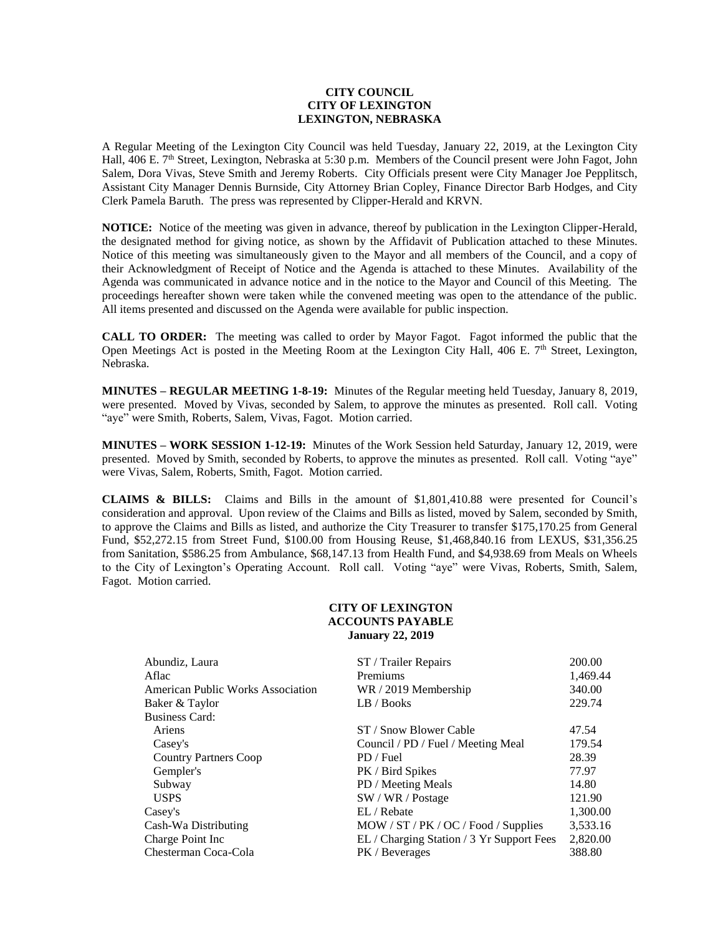## **CITY COUNCIL CITY OF LEXINGTON LEXINGTON, NEBRASKA**

A Regular Meeting of the Lexington City Council was held Tuesday, January 22, 2019, at the Lexington City Hall, 406 E. 7<sup>th</sup> Street, Lexington, Nebraska at 5:30 p.m. Members of the Council present were John Fagot, John Salem, Dora Vivas, Steve Smith and Jeremy Roberts. City Officials present were City Manager Joe Pepplitsch, Assistant City Manager Dennis Burnside, City Attorney Brian Copley, Finance Director Barb Hodges, and City Clerk Pamela Baruth. The press was represented by Clipper-Herald and KRVN.

**NOTICE:** Notice of the meeting was given in advance, thereof by publication in the Lexington Clipper-Herald, the designated method for giving notice, as shown by the Affidavit of Publication attached to these Minutes. Notice of this meeting was simultaneously given to the Mayor and all members of the Council, and a copy of their Acknowledgment of Receipt of Notice and the Agenda is attached to these Minutes. Availability of the Agenda was communicated in advance notice and in the notice to the Mayor and Council of this Meeting. The proceedings hereafter shown were taken while the convened meeting was open to the attendance of the public. All items presented and discussed on the Agenda were available for public inspection.

**CALL TO ORDER:** The meeting was called to order by Mayor Fagot. Fagot informed the public that the Open Meetings Act is posted in the Meeting Room at the Lexington City Hall, 406 E. 7<sup>th</sup> Street, Lexington, Nebraska.

**MINUTES – REGULAR MEETING 1-8-19:** Minutes of the Regular meeting held Tuesday, January 8, 2019, were presented. Moved by Vivas, seconded by Salem, to approve the minutes as presented. Roll call. Voting "aye" were Smith, Roberts, Salem, Vivas, Fagot. Motion carried.

**MINUTES – WORK SESSION 1-12-19:** Minutes of the Work Session held Saturday, January 12, 2019, were presented. Moved by Smith, seconded by Roberts, to approve the minutes as presented. Roll call. Voting "aye" were Vivas, Salem, Roberts, Smith, Fagot. Motion carried.

**CLAIMS & BILLS:** Claims and Bills in the amount of \$1,801,410.88 were presented for Council's consideration and approval. Upon review of the Claims and Bills as listed, moved by Salem, seconded by Smith, to approve the Claims and Bills as listed, and authorize the City Treasurer to transfer \$175,170.25 from General Fund, \$52,272.15 from Street Fund, \$100.00 from Housing Reuse, \$1,468,840.16 from LEXUS, \$31,356.25 from Sanitation, \$586.25 from Ambulance, \$68,147.13 from Health Fund, and \$4,938.69 from Meals on Wheels to the City of Lexington's Operating Account. Roll call. Voting "aye" were Vivas, Roberts, Smith, Salem, Fagot. Motion carried.

#### **CITY OF LEXINGTON ACCOUNTS PAYABLE January 22, 2019**

| Abundiz, Laura                    | ST / Trailer Repairs                      | 200.00   |
|-----------------------------------|-------------------------------------------|----------|
| Aflac                             | Premiums                                  | 1,469.44 |
| American Public Works Association | WR / 2019 Membership                      | 340.00   |
| Baker & Taylor                    | LB / Books                                | 229.74   |
| <b>Business Card:</b>             |                                           |          |
| Ariens                            | ST / Snow Blower Cable                    | 47.54    |
| Casey's                           | Council / PD / Fuel / Meeting Meal        | 179.54   |
| <b>Country Partners Coop</b>      | PD / Fuel                                 | 28.39    |
| Gempler's                         | PK / Bird Spikes                          | 77.97    |
| Subway                            | PD / Meeting Meals                        | 14.80    |
| <b>USPS</b>                       | SW / WR / Postage                         | 121.90   |
| Casey's                           | EL / Rebate                               | 1,300.00 |
| Cash-Wa Distributing              | MOW / ST / PK / OC / Food / Supplies      | 3,533.16 |
| Charge Point Inc.                 | EL / Charging Station / 3 Yr Support Fees | 2,820.00 |
| Chesterman Coca-Cola              | PK / Beverages                            | 388.80   |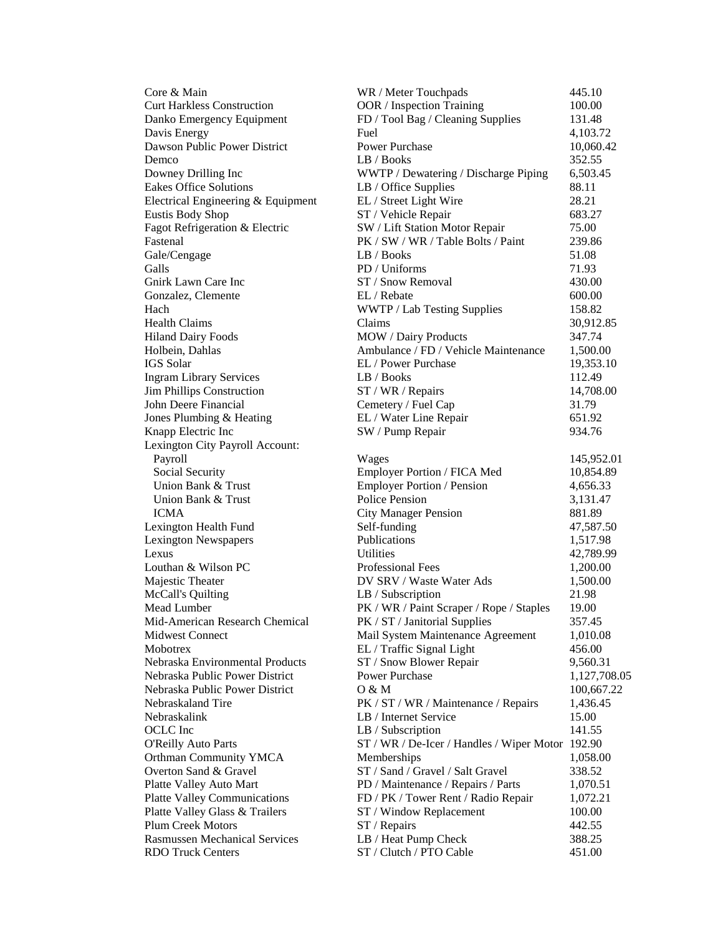| Core & Main                          | WR / Meter Touchpads                             | 445.10       |
|--------------------------------------|--------------------------------------------------|--------------|
| <b>Curt Harkless Construction</b>    | OOR / Inspection Training                        | 100.00       |
| Danko Emergency Equipment            | FD / Tool Bag / Cleaning Supplies                | 131.48       |
| Davis Energy                         | Fuel                                             | 4,103.72     |
| Dawson Public Power District         | <b>Power Purchase</b>                            | 10,060.42    |
| Demco                                | LB / Books                                       | 352.55       |
| Downey Drilling Inc                  | WWTP / Dewatering / Discharge Piping             | 6,503.45     |
| <b>Eakes Office Solutions</b>        | LB / Office Supplies                             | 88.11        |
| Electrical Engineering & Equipment   | EL / Street Light Wire                           | 28.21        |
| <b>Eustis Body Shop</b>              | ST / Vehicle Repair                              | 683.27       |
| Fagot Refrigeration & Electric       | SW / Lift Station Motor Repair                   | 75.00        |
| Fastenal                             | PK / SW / WR / Table Bolts / Paint               | 239.86       |
| Gale/Cengage                         | LB / Books                                       | 51.08        |
| Galls                                | PD / Uniforms                                    | 71.93        |
| Gnirk Lawn Care Inc                  | ST / Snow Removal                                | 430.00       |
| Gonzalez, Clemente                   | EL / Rebate                                      | 600.00       |
| Hach                                 | WWTP / Lab Testing Supplies                      | 158.82       |
| <b>Health Claims</b>                 | Claims                                           | 30,912.85    |
| <b>Hiland Dairy Foods</b>            | MOW / Dairy Products                             | 347.74       |
| Holbein, Dahlas                      | Ambulance / FD / Vehicle Maintenance             | 1,500.00     |
| IGS Solar                            | EL / Power Purchase                              | 19,353.10    |
| <b>Ingram Library Services</b>       | LB / Books                                       | 112.49       |
| Jim Phillips Construction            | ST / WR / Repairs                                | 14,708.00    |
| John Deere Financial                 | Cemetery / Fuel Cap                              | 31.79        |
| Jones Plumbing & Heating             | EL / Water Line Repair                           | 651.92       |
| Knapp Electric Inc                   | SW / Pump Repair                                 | 934.76       |
| Lexington City Payroll Account:      |                                                  |              |
| Payroll                              | Wages                                            | 145,952.01   |
| Social Security                      | Employer Portion / FICA Med                      | 10,854.89    |
| Union Bank & Trust                   | <b>Employer Portion / Pension</b>                | 4,656.33     |
| Union Bank & Trust                   | <b>Police Pension</b>                            | 3,131.47     |
| <b>ICMA</b>                          | <b>City Manager Pension</b>                      | 881.89       |
| Lexington Health Fund                | Self-funding                                     | 47,587.50    |
| <b>Lexington Newspapers</b>          | Publications                                     | 1,517.98     |
| Lexus                                | <b>Utilities</b>                                 | 42,789.99    |
| Louthan & Wilson PC                  | Professional Fees                                | 1,200.00     |
| Majestic Theater                     | DV SRV / Waste Water Ads                         | 1,500.00     |
| McCall's Quilting                    | LB / Subscription                                | 21.98        |
| Mead Lumber                          | PK / WR / Paint Scraper / Rope / Staples         | 19.00        |
| Mid-American Research Chemical       | PK / ST / Janitorial Supplies                    | 357.45       |
| <b>Midwest Connect</b>               | Mail System Maintenance Agreement                | 1,010.08     |
| Mobotrex                             | EL / Traffic Signal Light                        | 456.00       |
| Nebraska Environmental Products      | ST / Snow Blower Repair                          | 9,560.31     |
| Nebraska Public Power District       | <b>Power Purchase</b>                            | 1,127,708.05 |
| Nebraska Public Power District       | 0 & M                                            | 100,667.22   |
| Nebraskaland Tire                    | PK / ST / WR / Maintenance / Repairs             | 1,436.45     |
| Nebraskalink                         | LB / Internet Service                            | 15.00        |
| OCLC Inc                             | LB / Subscription                                | 141.55       |
| <b>O'Reilly Auto Parts</b>           | ST / WR / De-Icer / Handles / Wiper Motor 192.90 |              |
| Orthman Community YMCA               | Memberships                                      | 1,058.00     |
| Overton Sand & Gravel                | ST / Sand / Gravel / Salt Gravel                 | 338.52       |
| Platte Valley Auto Mart              | PD / Maintenance / Repairs / Parts               | 1,070.51     |
| <b>Platte Valley Communications</b>  | FD / PK / Tower Rent / Radio Repair              | 1,072.21     |
| Platte Valley Glass & Trailers       | ST / Window Replacement                          | 100.00       |
| <b>Plum Creek Motors</b>             | ST / Repairs                                     | 442.55       |
| <b>Rasmussen Mechanical Services</b> | LB / Heat Pump Check                             | 388.25       |
| <b>RDO Truck Centers</b>             | ST / Clutch / PTO Cable                          | 451.00       |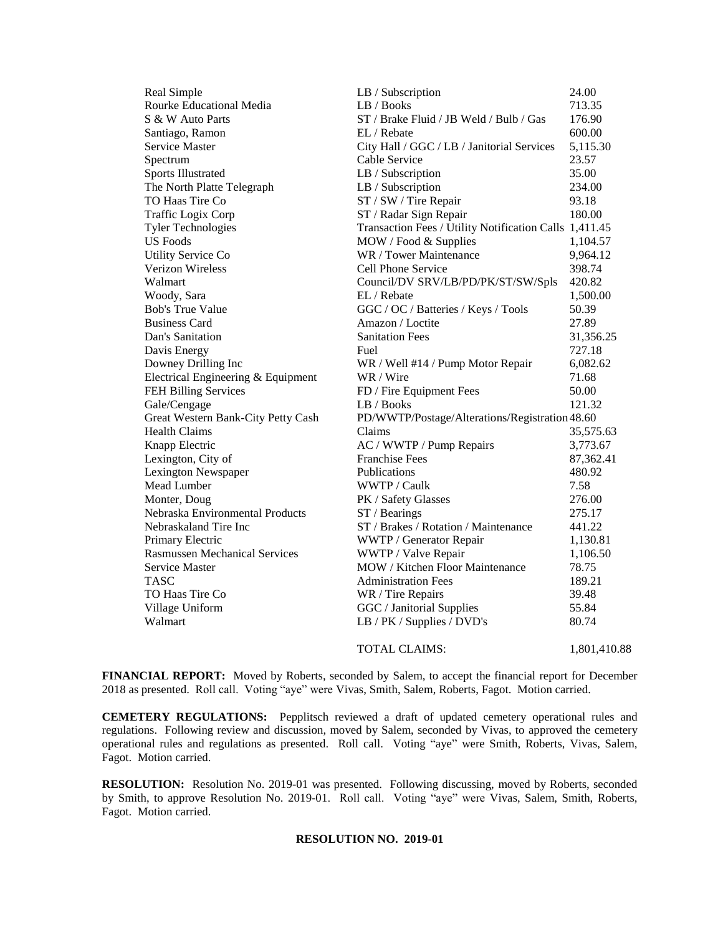| Real Simple                          | LB / Subscription                                      | 24.00        |
|--------------------------------------|--------------------------------------------------------|--------------|
| Rourke Educational Media             | LB / Books                                             | 713.35       |
| S & W Auto Parts                     | ST / Brake Fluid / JB Weld / Bulb / Gas<br>176.90      |              |
| Santiago, Ramon                      | 600.00<br>EL / Rebate                                  |              |
| <b>Service Master</b>                | City Hall / GGC / LB / Janitorial Services<br>5,115.30 |              |
| Spectrum                             | Cable Service<br>23.57                                 |              |
| <b>Sports Illustrated</b>            | LB / Subscription                                      | 35.00        |
| The North Platte Telegraph           | LB / Subscription                                      | 234.00       |
| TO Haas Tire Co                      | ST / SW / Tire Repair                                  | 93.18        |
| <b>Traffic Logix Corp</b>            | ST / Radar Sign Repair                                 | 180.00       |
| <b>Tyler Technologies</b>            | Transaction Fees / Utility Notification Calls 1,411.45 |              |
| <b>US</b> Foods                      | MOW / Food & Supplies                                  | 1,104.57     |
| <b>Utility Service Co</b>            | WR / Tower Maintenance                                 | 9,964.12     |
| <b>Verizon Wireless</b>              | Cell Phone Service                                     | 398.74       |
| Walmart                              | Council/DV SRV/LB/PD/PK/ST/SW/Spls                     | 420.82       |
| Woody, Sara                          | EL / Rebate                                            | 1,500.00     |
| <b>Bob's True Value</b>              | GGC / OC / Batteries / Keys / Tools                    | 50.39        |
| <b>Business Card</b>                 | Amazon / Loctite                                       | 27.89        |
| Dan's Sanitation                     | <b>Sanitation Fees</b>                                 | 31,356.25    |
| Davis Energy                         | Fuel                                                   | 727.18       |
| Downey Drilling Inc                  | WR / Well #14 / Pump Motor Repair                      | 6,082.62     |
| Electrical Engineering & Equipment   | WR / Wire                                              | 71.68        |
| FEH Billing Services                 | FD / Fire Equipment Fees                               | 50.00        |
| Gale/Cengage                         | LB / Books                                             | 121.32       |
| Great Western Bank-City Petty Cash   | PD/WWTP/Postage/Alterations/Registration 48.60         |              |
| <b>Health Claims</b>                 | Claims                                                 | 35,575.63    |
| Knapp Electric                       | AC / WWTP / Pump Repairs                               | 3,773.67     |
| Lexington, City of                   | <b>Franchise Fees</b>                                  | 87,362.41    |
| Lexington Newspaper                  | Publications                                           | 480.92       |
| Mead Lumber                          | WWTP / Caulk                                           | 7.58         |
| Monter, Doug                         | PK / Safety Glasses                                    | 276.00       |
| Nebraska Environmental Products      | $ST/$ Bearings                                         | 275.17       |
| Nebraskaland Tire Inc                | ST / Brakes / Rotation / Maintenance                   | 441.22       |
| Primary Electric                     | WWTP / Generator Repair                                | 1,130.81     |
| <b>Rasmussen Mechanical Services</b> | WWTP / Valve Repair                                    | 1,106.50     |
| <b>Service Master</b>                | <b>MOW</b> / Kitchen Floor Maintenance                 | 78.75        |
| TASC                                 | <b>Administration Fees</b>                             | 189.21       |
| TO Haas Tire Co                      | WR / Tire Repairs                                      | 39.48        |
| Village Uniform                      | GGC / Janitorial Supplies                              | 55.84        |
| Walmart                              | LB / PK / Supplies / DVD's                             | 80.74        |
|                                      | <b>TOTAL CLAIMS:</b>                                   | 1.801.410.88 |

**FINANCIAL REPORT:** Moved by Roberts, seconded by Salem, to accept the financial report for December 2018 as presented. Roll call. Voting "aye" were Vivas, Smith, Salem, Roberts, Fagot. Motion carried.

**CEMETERY REGULATIONS:** Pepplitsch reviewed a draft of updated cemetery operational rules and regulations. Following review and discussion, moved by Salem, seconded by Vivas, to approved the cemetery operational rules and regulations as presented. Roll call. Voting "aye" were Smith, Roberts, Vivas, Salem, Fagot. Motion carried.

**RESOLUTION:** Resolution No. 2019-01 was presented. Following discussing, moved by Roberts, seconded by Smith, to approve Resolution No. 2019-01. Roll call. Voting "aye" were Vivas, Salem, Smith, Roberts, Fagot. Motion carried.

## **RESOLUTION NO. 2019-01**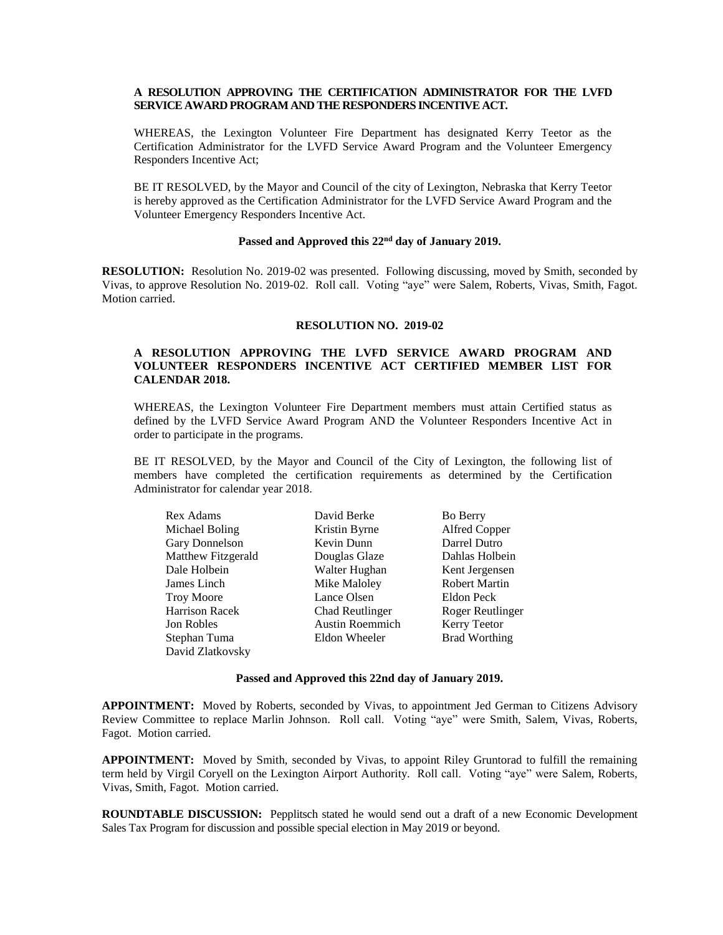# **A RESOLUTION APPROVING THE CERTIFICATION ADMINISTRATOR FOR THE LVFD SERVICE AWARD PROGRAM AND THE RESPONDERS INCENTIVE ACT.**

WHEREAS, the Lexington Volunteer Fire Department has designated Kerry Teetor as the Certification Administrator for the LVFD Service Award Program and the Volunteer Emergency Responders Incentive Act;

BE IT RESOLVED, by the Mayor and Council of the city of Lexington, Nebraska that Kerry Teetor is hereby approved as the Certification Administrator for the LVFD Service Award Program and the Volunteer Emergency Responders Incentive Act.

## **Passed and Approved this 22nd day of January 2019.**

**RESOLUTION:** Resolution No. 2019-02 was presented. Following discussing, moved by Smith, seconded by Vivas, to approve Resolution No. 2019-02. Roll call. Voting "aye" were Salem, Roberts, Vivas, Smith, Fagot. Motion carried.

#### **RESOLUTION NO. 2019-02**

# **A RESOLUTION APPROVING THE LVFD SERVICE AWARD PROGRAM AND VOLUNTEER RESPONDERS INCENTIVE ACT CERTIFIED MEMBER LIST FOR CALENDAR 2018.**

WHEREAS, the Lexington Volunteer Fire Department members must attain Certified status as defined by the LVFD Service Award Program AND the Volunteer Responders Incentive Act in order to participate in the programs.

BE IT RESOLVED, by the Mayor and Council of the City of Lexington, the following list of members have completed the certification requirements as determined by the Certification Administrator for calendar year 2018.

| Rex Adams             | David Berke            | <b>Bo Berry</b>      |
|-----------------------|------------------------|----------------------|
| Michael Boling        | Kristin Byrne          | Alfred Copper        |
| Gary Donnelson        | Kevin Dunn             | Darrel Dutro         |
| Matthew Fitzgerald    | Douglas Glaze          | Dahlas Holbein       |
| Dale Holbein          | Walter Hughan          | Kent Jergensen       |
| James Linch           | Mike Maloley           | <b>Robert Martin</b> |
| <b>Troy Moore</b>     | Lance Olsen            | Eldon Peck           |
| <b>Harrison Racek</b> | Chad Reutlinger        | Roger Reutlinger     |
| Jon Robles            | <b>Austin Roemmich</b> | Kerry Teetor         |
| Stephan Tuma          | Eldon Wheeler          | <b>Brad Worthing</b> |
| David Zlatkovsky      |                        |                      |

#### **Passed and Approved this 22nd day of January 2019.**

**APPOINTMENT:** Moved by Roberts, seconded by Vivas, to appointment Jed German to Citizens Advisory Review Committee to replace Marlin Johnson. Roll call. Voting "aye" were Smith, Salem, Vivas, Roberts, Fagot. Motion carried.

**APPOINTMENT:** Moved by Smith, seconded by Vivas, to appoint Riley Gruntorad to fulfill the remaining term held by Virgil Coryell on the Lexington Airport Authority. Roll call. Voting "aye" were Salem, Roberts, Vivas, Smith, Fagot. Motion carried.

**ROUNDTABLE DISCUSSION:** Pepplitsch stated he would send out a draft of a new Economic Development Sales Tax Program for discussion and possible special election in May 2019 or beyond.